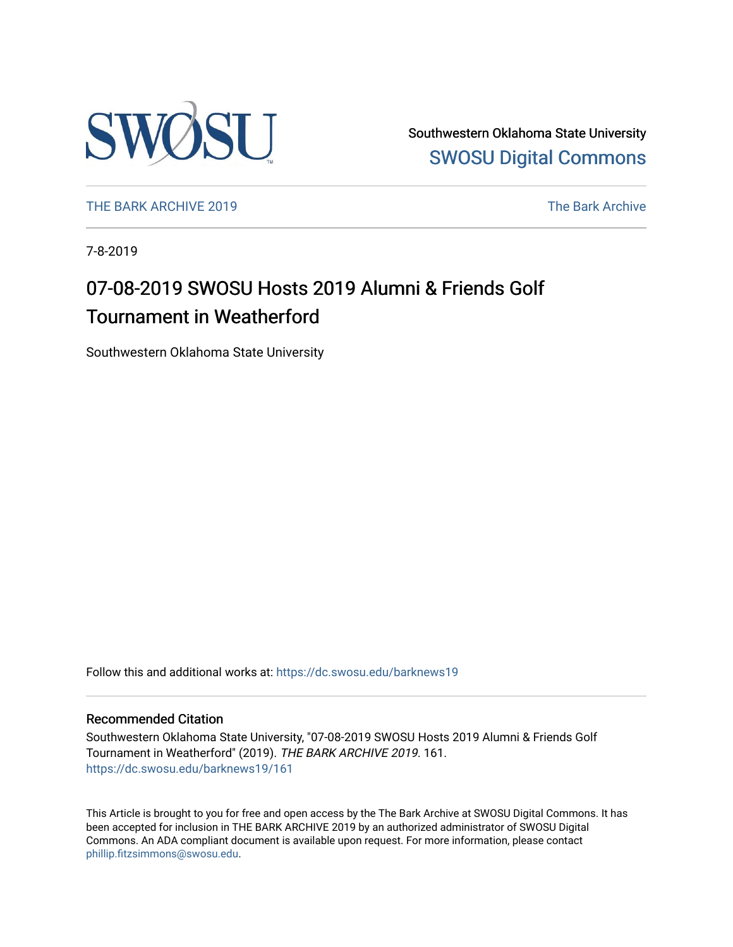

Southwestern Oklahoma State University [SWOSU Digital Commons](https://dc.swosu.edu/) 

[THE BARK ARCHIVE 2019](https://dc.swosu.edu/barknews19) The Bark Archive

7-8-2019

# 07-08-2019 SWOSU Hosts 2019 Alumni & Friends Golf Tournament in Weatherford

Southwestern Oklahoma State University

Follow this and additional works at: [https://dc.swosu.edu/barknews19](https://dc.swosu.edu/barknews19?utm_source=dc.swosu.edu%2Fbarknews19%2F161&utm_medium=PDF&utm_campaign=PDFCoverPages)

#### Recommended Citation

Southwestern Oklahoma State University, "07-08-2019 SWOSU Hosts 2019 Alumni & Friends Golf Tournament in Weatherford" (2019). THE BARK ARCHIVE 2019. 161. [https://dc.swosu.edu/barknews19/161](https://dc.swosu.edu/barknews19/161?utm_source=dc.swosu.edu%2Fbarknews19%2F161&utm_medium=PDF&utm_campaign=PDFCoverPages)

This Article is brought to you for free and open access by the The Bark Archive at SWOSU Digital Commons. It has been accepted for inclusion in THE BARK ARCHIVE 2019 by an authorized administrator of SWOSU Digital Commons. An ADA compliant document is available upon request. For more information, please contact [phillip.fitzsimmons@swosu.edu](mailto:phillip.fitzsimmons@swosu.edu).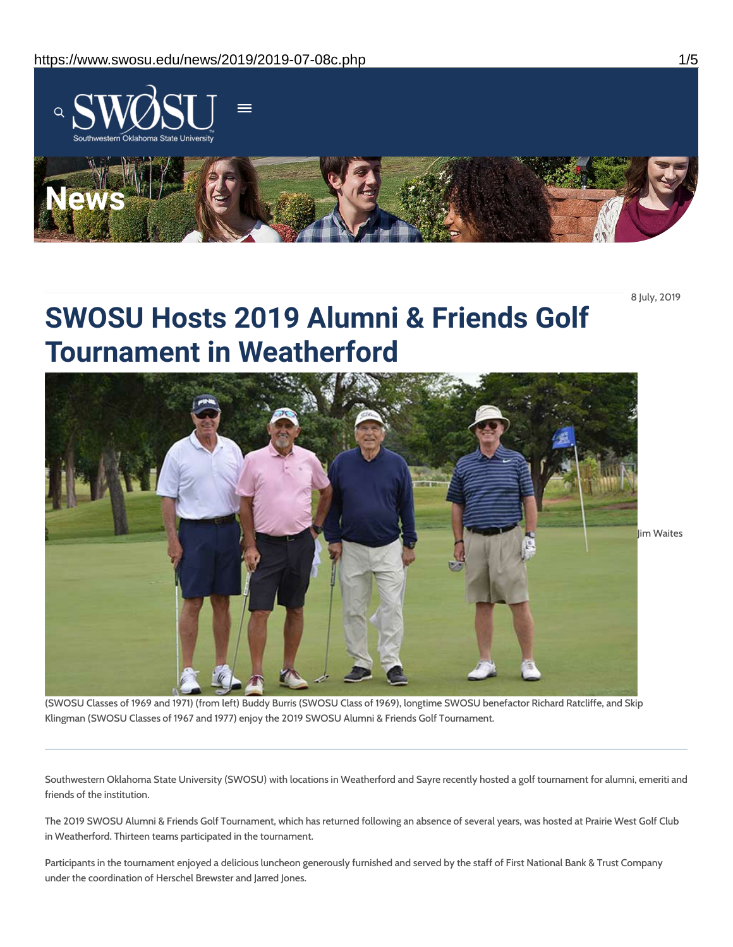

8 July, 2019

# **SWOSU Hosts 2019 Alumni & Friends Golf Tournament in Weatherford**

lim Waites

(SWOSU Classes of 1969 and 1971) (from left) Buddy Burris (SWOSU Class of 1969), longtime SWOSU benefactor Richard Ratcliffe, and Skip Klingman (SWOSU Classes of 1967 and 1977) enjoy the 2019 SWOSU Alumni & Friends Golf Tournament.

Southwestern Oklahoma State University (SWOSU) with locations in Weatherford and Sayre recently hosted a golf tournament for alumni, emeriti and friends of the institution.

The 2019 SWOSU Alumni & Friends Golf Tournament, which has returned following an absence of several years, was hosted at Prairie West Golf Club in Weatherford. Thirteen teams participated in the tournament.

Participants in the tournament enjoyed a delicious luncheon generously furnished and served by the staff of First National Bank & Trust Company under the coordination of Herschel Brewster and Jarred Jones.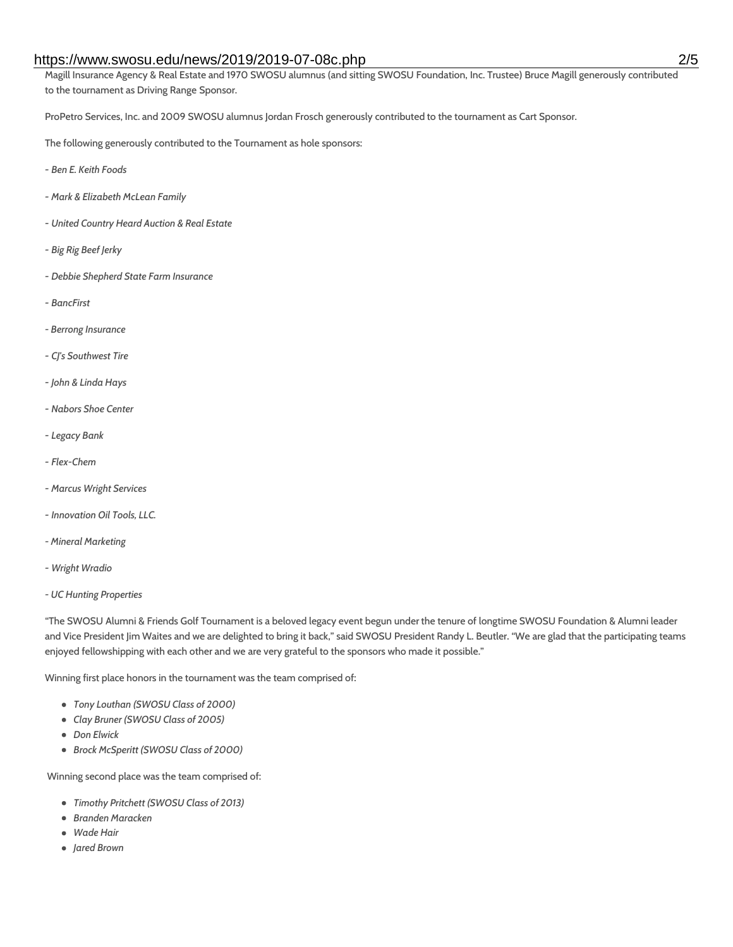#### https://www.swosu.edu/news/2019/2019-07-08c.php 2/5

Magill Insurance Agency & Real Estate and 1970 SWOSU alumnus (and sitting SWOSU Foundation, Inc. Trustee) Bruce Magill generously contributed to the tournament as Driving Range Sponsor.

ProPetro Services, Inc. and 2009 SWOSU alumnus Jordan Frosch generously contributed to the tournament as Cart Sponsor.

The following generously contributed to the Tournament as hole sponsors:

- *- Ben E. Keith Foods*
- *- Mark & Elizabeth McLean Family*
- *- United Country Heard Auction & Real Estate*
- *- Big Rig Beef Jerky*
- *- Debbie Shepherd State Farm Insurance*
- *- BancFirst*
- *- Berrong Insurance*
- *- CJ's Southwest Tire*
- *- John & Linda Hays*
- *- Nabors Shoe Center*
- *- Legacy Bank*
- *- Flex-Chem*
- *- Marcus Wright Services*
- *- Innovation Oil Tools, LLC.*
- *- Mineral Marketing*
- *- Wright Wradio*
- *- UC Hunting Properties*

"The SWOSU Alumni & Friends Golf Tournament is a beloved legacy event begun under the tenure of longtime SWOSU Foundation & Alumni leader and Vice President Jim Waites and we are delighted to bring it back," said SWOSU President Randy L. Beutler. "We are glad that the participating teams enjoyed fellowshipping with each other and we are very grateful to the sponsors who made it possible."

Winning first place honors in the tournament was the team comprised of:

- *Tony Louthan (SWOSU Class of 2000)*
- *Clay Bruner (SWOSU Class of 2005)*
- *Don Elwick*
- *Brock McSperitt (SWOSU Class of 2000)*

Winning second place was the team comprised of:

- *Timothy Pritchett (SWOSU Class of 2013)*
- *Branden Maracken*
- *Wade Hair*
- *Jared Brown*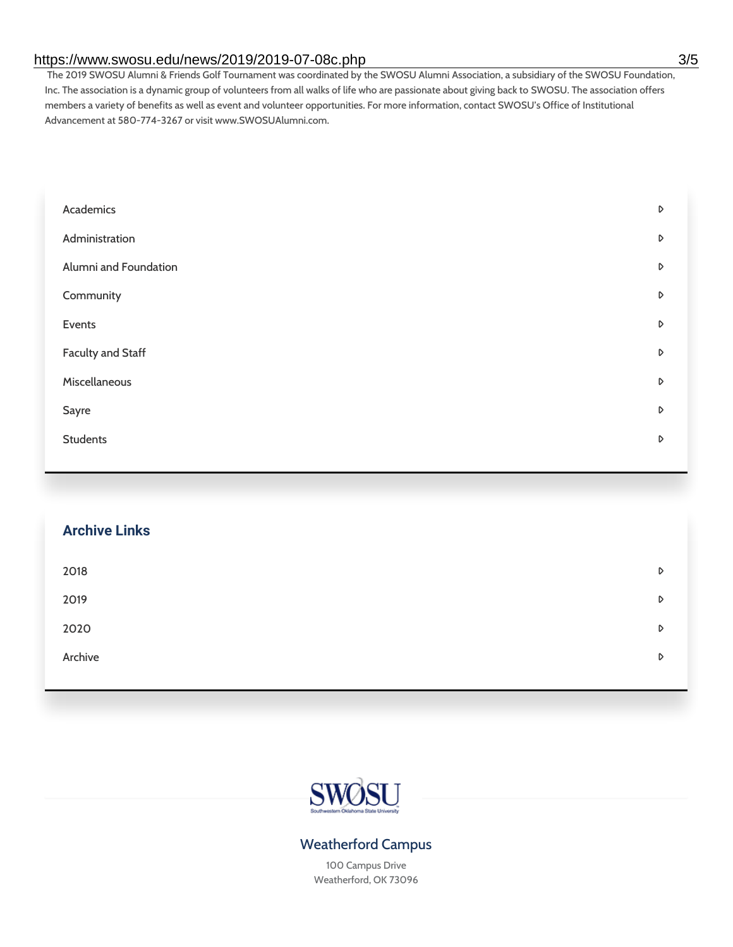### https://www.swosu.edu/news/2019/2019-07-08c.php 3/5

The 2019 SWOSU Alumni & Friends Golf Tournament was coordinated by the SWOSU Alumni Association, a subsidiary of the SWOSU Foundation, Inc. The association is a dynamic group of volunteers from all walks of life who are passionate about giving back to SWOSU. The association offers members a variety of benefits as well as event and volunteer opportunities. For more information, contact SWOSU's Office of Institutional Advancement at 580-774-3267 or visit www.SWOSUAlumni.com.

| Academics                | D |
|--------------------------|---|
| Administration           | D |
| Alumni and Foundation    | D |
| Community                | D |
| Events                   | D |
| <b>Faculty and Staff</b> | D |
| Miscellaneous            | D |
| Sayre                    | D |
| <b>Students</b>          | D |
|                          |   |

| <b>Archive Links</b> |   |
|----------------------|---|
| 2018                 | D |
| 2019                 | D |
| 2020                 | D |
| Archive              | D |
|                      |   |



# Weatherford Campus

100 Campus Drive Weatherford, OK 73096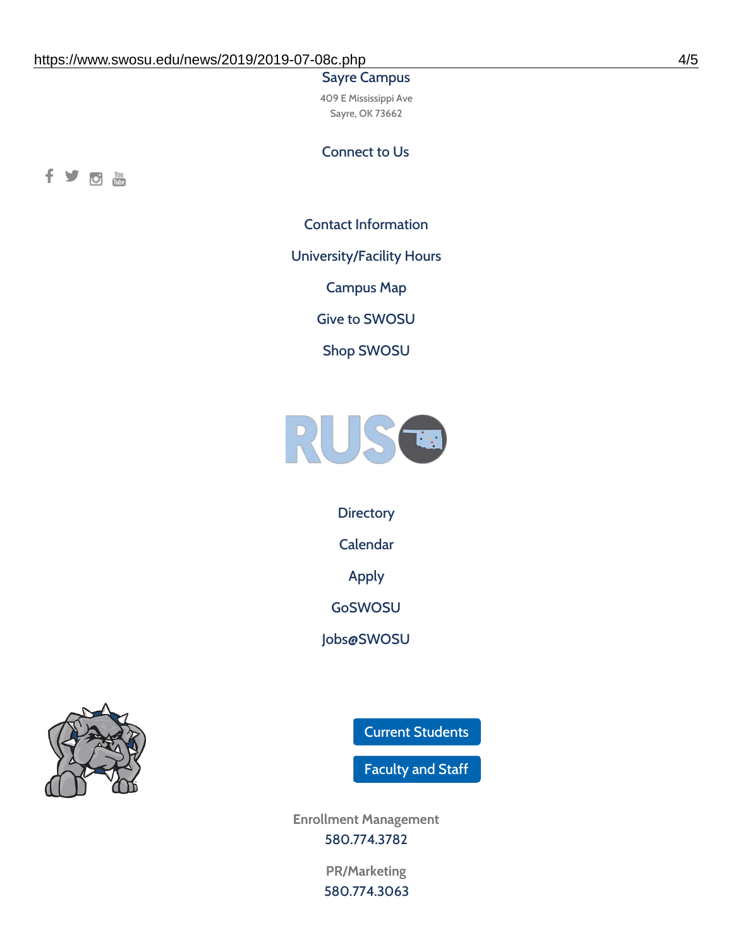#### Sayre Campus

409 E Mississippi Ave Sayre, OK 73662

## Connect to Us



Contact [Information](https://www.swosu.edu/about/contact.php)

[University/Facility](https://www.swosu.edu/about/operating-hours.php) Hours

[Campus](https://map.concept3d.com/?id=768#!ct/10964,10214,10213,10212,10205,10204,10203,10202,10136,10129,10128,0,31226,10130,10201,10641,0) Map

Give to [SWOSU](https://standingfirmly.com/donate)

Shop [SWOSU](https://shopswosu.merchorders.com/)



**[Directory](https://www.swosu.edu/directory/index.php)** 

[Calendar](https://eventpublisher.dudesolutions.com/swosu/)

[Apply](https://www.swosu.edu/admissions/apply-to-swosu.php)

[GoSWOSU](https://qlsso.quicklaunchsso.com/home/1267)

[Jobs@SWOSU](https://swosu.csod.com/ux/ats/careersite/1/home?c=swosu)



Current [Students](https://bulldog.swosu.edu/index.php)

[Faculty](https://bulldog.swosu.edu/faculty-staff/index.php) and Staff

**Enrollment Management** [580.774.3782](tel:5807743782)

> **PR/Marketing** [580.774.3063](tel:5807743063)